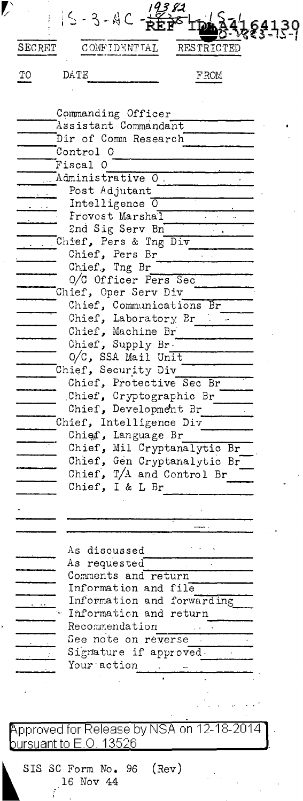| SECRET | CONFIDENTIAL                                               | RESTRICTED     |
|--------|------------------------------------------------------------|----------------|
| TО     | DATE                                                       | <b>FROM</b>    |
|        |                                                            |                |
|        | Commanding Officer<br>Assistant Commandant                 |                |
|        | Dir of Comm Research                                       |                |
|        | Control 0<br>Fiscal O                                      |                |
|        | Administrative O.                                          |                |
|        | Post Adjutant                                              |                |
|        | Intelligence 0<br>Frovost Marshal                          |                |
|        | 2nd Sig Serv Bn                                            |                |
|        | Chief, Pers & Tng Div                                      |                |
|        | Chief, Pers Br<br>Chief, Tng Br                            |                |
|        | 0/C Officer Pers Sec                                       |                |
|        | Chief, Oper Serv Div<br>Chief, Communications Br           |                |
|        | Chief, Laboratory Br                                       |                |
|        | Chief, Machine Br                                          |                |
|        | Chief, Supply Br.                                          |                |
|        | $0/C$ , SSA Mail Unit<br>Chief, Security Div               |                |
|        | Chief, Protective Sec Br                                   |                |
|        | Chief, Cryptographic Br                                    |                |
|        | Chief, Development Br<br>Chief, Intelligence Div           |                |
|        | Chief, Language Br                                         |                |
|        | Chief, Mil Cryptanalytic Br<br>Chief, Gen Cryptanalytic Br |                |
|        | Chief, $T/A$ and Control Br                                |                |
|        | Chief, I & L Br                                            |                |
|        |                                                            |                |
|        |                                                            |                |
|        | As discussed                                               |                |
|        | As requested                                               |                |
|        | Comments and return                                        |                |
|        | Information and file<br>Information and forwarding         |                |
|        | Information and return                                     |                |
|        | Recommendation<br>See note on reverse                      |                |
|        | Signature if approved.                                     |                |
|        | Your action                                                |                |
|        |                                                            |                |
|        |                                                            |                |
|        | Approved for Release by NSA on 12-18-2014                  |                |
|        | <u>oursuant to E.O. 13526</u>                              |                |
|        | SIS SC Form No. 96                                         | $(\text{Rev})$ |